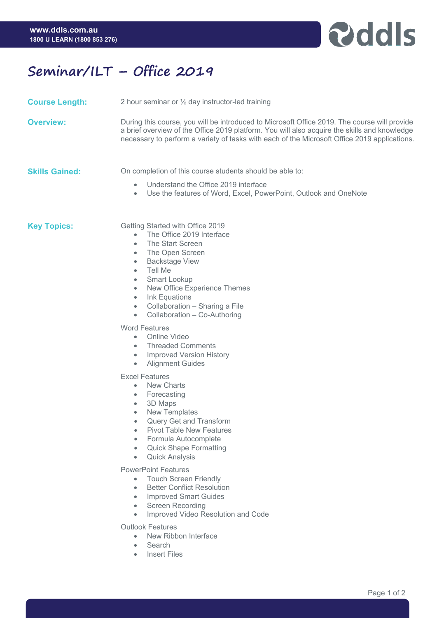

## **Seminar/ILT – Office 2019**

- **Course Length:** 2 hour seminar or ½ day instructor-led training
- **Overview:** During this course, you will be introduced to Microsoft Office 2019. The course will provide a brief overview of the Office 2019 platform. You will also acquire the skills and knowledge necessary to perform a variety of tasks with each of the Microsoft Office 2019 applications.

**Skills Gained:** On completion of this course students should be able to:

- Understand the Office 2019 interface
- Use the features of Word, Excel, PowerPoint, Outlook and OneNote

**Key Topics:** Getting Started with Office 2019

- The Office 2019 Interface
- The Start Screen
- The Open Screen
- Backstage View
- Tell Me
- Smart Lookup
- New Office Experience Themes
- Ink Equations
- Collaboration Sharing a File
- Collaboration Co-Authoring

Word Features

- Online Video
- Threaded Comments
- Improved Version History
- Alignment Guides

Excel Features

- New Charts
- Forecasting
- 3D Maps
- New Templates
- Query Get and Transform
- Pivot Table New Features
- Formula Autocomplete
- Quick Shape Formatting
- Quick Analysis

PowerPoint Features

- Touch Screen Friendly
- Better Conflict Resolution
- Improved Smart Guides
- Screen Recording
- Improved Video Resolution and Code

Outlook Features

- New Ribbon Interface
- Search
- **Insert Files**